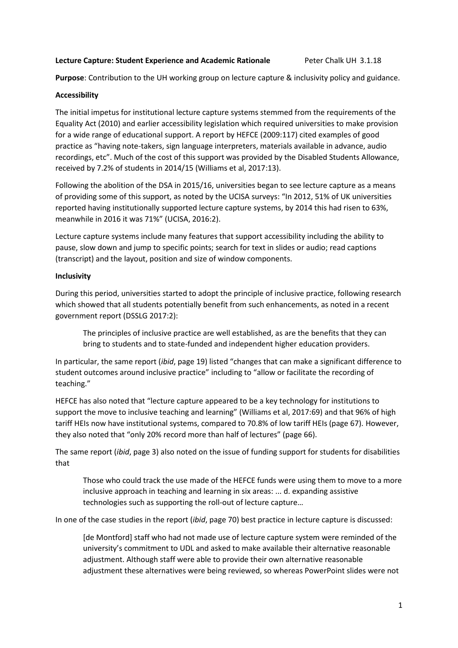## **Lecture Capture: Student Experience and Academic Rationale** Peter Chalk UH 3.1.18

**Purpose**: Contribution to the UH working group on lecture capture & inclusivity policy and guidance.

# **Accessibility**

The initial impetus for institutional lecture capture systems stemmed from the requirements of the Equality Act (2010) and earlier accessibility legislation which required universities to make provision for a wide range of educational support. A report by HEFCE (2009:117) cited examples of good practice as "having note-takers, sign language interpreters, materials available in advance, audio recordings, etc". Much of the cost of this support was provided by the Disabled Students Allowance, received by 7.2% of students in 2014/15 (Williams et al, 2017:13).

Following the abolition of the DSA in 2015/16, universities began to see lecture capture as a means of providing some of this support, as noted by the UCISA surveys: "In 2012, 51% of UK universities reported having institutionally supported lecture capture systems, by 2014 this had risen to 63%, meanwhile in 2016 it was 71%" (UCISA, 2016:2).

Lecture capture systems include many features that support accessibility including the ability to pause, slow down and jump to specific points; search for text in slides or audio; read captions (transcript) and the layout, position and size of window components.

# **Inclusivity**

During this period, universities started to adopt the principle of inclusive practice, following research which showed that all students potentially benefit from such enhancements, as noted in a recent government report (DSSLG 2017:2):

The principles of inclusive practice are well established, as are the benefits that they can bring to students and to state-funded and independent higher education providers.

In particular, the same report (*ibid*, page 19) listed "changes that can make a significant difference to student outcomes around inclusive practice" including to "allow or facilitate the recording of teaching."

HEFCE has also noted that "lecture capture appeared to be a key technology for institutions to support the move to inclusive teaching and learning" (Williams et al, 2017:69) and that 96% of high tariff HEIs now have institutional systems, compared to 70.8% of low tariff HEIs (page 67). However, they also noted that "only 20% record more than half of lectures" (page 66).

The same report (*ibid*, page 3) also noted on the issue of funding support for students for disabilities that

Those who could track the use made of the HEFCE funds were using them to move to a more inclusive approach in teaching and learning in six areas: ... d. expanding assistive technologies such as supporting the roll-out of lecture capture…

In one of the case studies in the report (*ibid*, page 70) best practice in lecture capture is discussed:

[de Montford] staff who had not made use of lecture capture system were reminded of the university's commitment to UDL and asked to make available their alternative reasonable adjustment. Although staff were able to provide their own alternative reasonable adjustment these alternatives were being reviewed, so whereas PowerPoint slides were not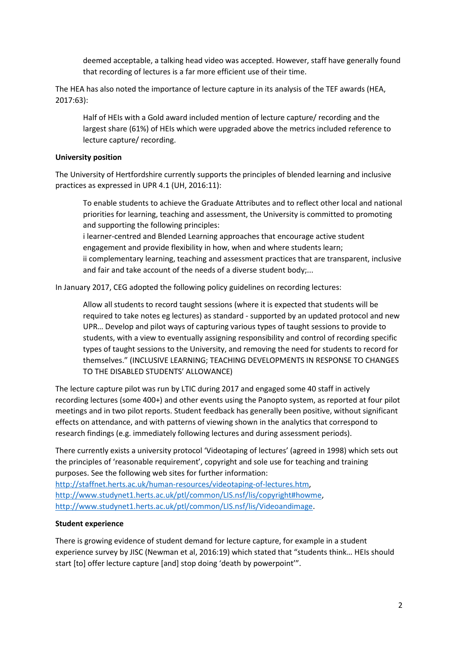deemed acceptable, a talking head video was accepted. However, staff have generally found that recording of lectures is a far more efficient use of their time.

The HEA has also noted the importance of lecture capture in its analysis of the TEF awards (HEA, 2017:63):

Half of HEIs with a Gold award included mention of lecture capture/ recording and the largest share (61%) of HEIs which were upgraded above the metrics included reference to lecture capture/ recording.

## **University position**

The University of Hertfordshire currently supports the principles of blended learning and inclusive practices as expressed in UPR 4.1 (UH, 2016:11):

To enable students to achieve the Graduate Attributes and to reflect other local and national priorities for learning, teaching and assessment, the University is committed to promoting and supporting the following principles:

i learner-centred and Blended Learning approaches that encourage active student engagement and provide flexibility in how, when and where students learn; ii complementary learning, teaching and assessment practices that are transparent, inclusive and fair and take account of the needs of a diverse student body;...

In January 2017, CEG adopted the following policy guidelines on recording lectures:

Allow all students to record taught sessions (where it is expected that students will be required to take notes eg lectures) as standard - supported by an updated protocol and new UPR… Develop and pilot ways of capturing various types of taught sessions to provide to students, with a view to eventually assigning responsibility and control of recording specific types of taught sessions to the University, and removing the need for students to record for themselves." (INCLUSIVE LEARNING; TEACHING DEVELOPMENTS IN RESPONSE TO CHANGES TO THE DISABLED STUDENTS' ALLOWANCE)

The lecture capture pilot was run by LTIC during 2017 and engaged some 40 staff in actively recording lectures (some 400+) and other events using the Panopto system, as reported at four pilot meetings and in two pilot reports. Student feedback has generally been positive, without significant effects on attendance, and with patterns of viewing shown in the analytics that correspond to research findings (e.g. immediately following lectures and during assessment periods).

There currently exists a university protocol 'Videotaping of lectures' (agreed in 1998) which sets out the principles of 'reasonable requirement', copyright and sole use for teaching and training purposes. See the following web sites for further information:

[http://staffnet.herts.ac.uk/human-resources/videotaping-of-lectures.htm,](http://staffnet.herts.ac.uk/human-resources/videotaping-of-lectures.htm) [http://www.studynet1.herts.ac.uk/ptl/common/LIS.nsf/lis/copyright#howme,](http://www.studynet1.herts.ac.uk/ptl/common/LIS.nsf/lis/copyright#howme) [http://www.studynet1.herts.ac.uk/ptl/common/LIS.nsf/lis/Videoandimage.](http://www.studynet1.herts.ac.uk/ptl/common/LIS.nsf/lis/Videoandimage)

#### **Student experience**

There is growing evidence of student demand for lecture capture, for example in a student experience survey by JISC (Newman et al, 2016:19) which stated that "students think… HEIs should start [to] offer lecture capture [and] stop doing 'death by powerpoint'".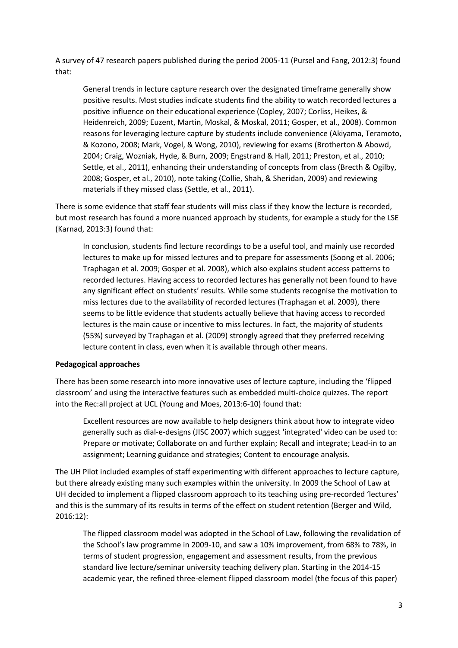A survey of 47 research papers published during the period 2005-11 (Pursel and Fang, 2012:3) found that:

General trends in lecture capture research over the designated timeframe generally show positive results. Most studies indicate students find the ability to watch recorded lectures a positive influence on their educational experience (Copley, 2007; Corliss, Heikes, & Heidenreich, 2009; Euzent, Martin, Moskal, & Moskal, 2011; Gosper, et al., 2008). Common reasons for leveraging lecture capture by students include convenience (Akiyama, Teramoto, & Kozono, 2008; Mark, Vogel, & Wong, 2010), reviewing for exams (Brotherton & Abowd, 2004; Craig, Wozniak, Hyde, & Burn, 2009; Engstrand & Hall, 2011; Preston, et al., 2010; Settle, et al., 2011), enhancing their understanding of concepts from class (Brecth & Ogilby, 2008; Gosper, et al., 2010), note taking (Collie, Shah, & Sheridan, 2009) and reviewing materials if they missed class (Settle, et al., 2011).

There is some evidence that staff fear students will miss class if they know the lecture is recorded, but most research has found a more nuanced approach by students, for example a study for the LSE (Karnad, 2013:3) found that:

In conclusion, students find lecture recordings to be a useful tool, and mainly use recorded lectures to make up for missed lectures and to prepare for assessments (Soong et al. 2006; Traphagan et al. 2009; Gosper et al. 2008), which also explains student access patterns to recorded lectures. Having access to recorded lectures has generally not been found to have any significant effect on students' results. While some students recognise the motivation to miss lectures due to the availability of recorded lectures (Traphagan et al. 2009), there seems to be little evidence that students actually believe that having access to recorded lectures is the main cause or incentive to miss lectures. In fact, the majority of students (55%) surveyed by Traphagan et al. (2009) strongly agreed that they preferred receiving lecture content in class, even when it is available through other means.

## **Pedagogical approaches**

There has been some research into more innovative uses of lecture capture, including the 'flipped classroom' and using the interactive features such as embedded multi-choice quizzes. The report into the Rec:all project at UCL (Young and Moes, 2013:6-10) found that:

Excellent resources are now available to help designers think about how to integrate video generally such as dial-e-designs (JISC 2007) which suggest 'integrated' video can be used to: Prepare or motivate; Collaborate on and further explain; Recall and integrate; Lead-in to an assignment; Learning guidance and strategies; Content to encourage analysis.

The UH Pilot included examples of staff experimenting with different approaches to lecture capture, but there already existing many such examples within the university. In 2009 the School of Law at UH decided to implement a flipped classroom approach to its teaching using pre-recorded 'lectures' and this is the summary of its results in terms of the effect on student retention (Berger and Wild, 2016:12):

The flipped classroom model was adopted in the School of Law, following the revalidation of the School's law programme in 2009-10, and saw a 10% improvement, from 68% to 78%, in terms of student progression, engagement and assessment results, from the previous standard live lecture/seminar university teaching delivery plan. Starting in the 2014-15 academic year, the refined three-element flipped classroom model (the focus of this paper)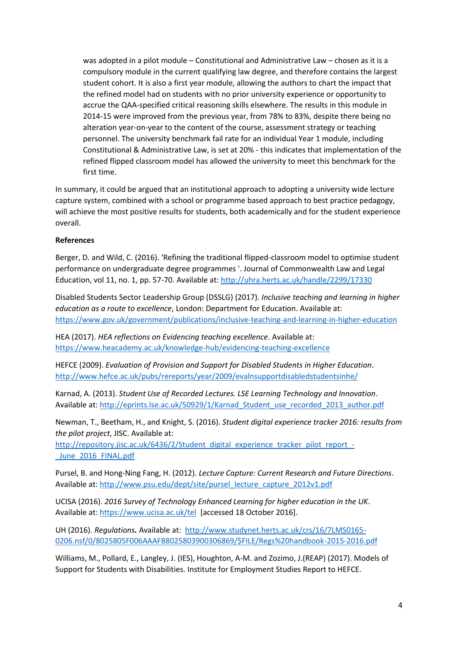was adopted in a pilot module – Constitutional and Administrative Law – chosen as it is a compulsory module in the current qualifying law degree, and therefore contains the largest student cohort. It is also a first year module, allowing the authors to chart the impact that the refined model had on students with no prior university experience or opportunity to accrue the QAA-specified critical reasoning skills elsewhere. The results in this module in 2014-15 were improved from the previous year, from 78% to 83%, despite there being no alteration year-on-year to the content of the course, assessment strategy or teaching personnel. The university benchmark fail rate for an individual Year 1 module, including Constitutional & Administrative Law, is set at 20% - this indicates that implementation of the refined flipped classroom model has allowed the university to meet this benchmark for the first time.

In summary, it could be argued that an institutional approach to adopting a university wide lecture capture system, combined with a school or programme based approach to best practice pedagogy, will achieve the most positive results for students, both academically and for the student experience overall.

# **References**

Berger, D. and Wild, C. (2016). 'Refining the traditional flipped-classroom model to optimise student performance on undergraduate degree programmes '. Journal of Commonwealth Law and Legal Education, vol 11, no. 1, pp. 57-70. Available at:<http://uhra.herts.ac.uk/handle/2299/17330>

Disabled Students Sector Leadership Group (DSSLG) (2017). *Inclusive teaching and learning in higher education as a route to excellence*, London: Department for Education. Available at: <https://www.gov.uk/government/publications/inclusive-teaching-and-learning-in-higher-education>

HEA (2017). *HEA reflections on Evidencing teaching excellence*. Available at: <https://www.heacademy.ac.uk/knowledge-hub/evidencing-teaching-excellence>

HEFCE (2009). *Evaluation of Provision and Support for Disabled Students in Higher Education*. <http://www.hefce.ac.uk/pubs/rereports/year/2009/evalnsupportdisabledstudentsinhe/>

Karnad, A. (2013). *Student Use of Recorded Lectures. LSE Learning Technology and Innovation*. Available at[: http://eprints.lse.ac.uk/50929/1/Karnad\\_Student\\_use\\_recorded\\_2013\\_author.pdf](http://eprints.lse.ac.uk/50929/1/Karnad_Student_use_recorded_2013_author.pdf)

Newman, T., Beetham, H., and Knight, S. (2016). *Student digital experience tracker 2016: results from the pilot project*, JISC. Available at:

[http://repository.jisc.ac.uk/6436/2/Student\\_digital\\_experience\\_tracker\\_pilot\\_report\\_-](http://repository.jisc.ac.uk/6436/2/Student_digital_experience_tracker_pilot_report_-_June_2016_FINAL.pdf) June 2016 FINAL.pdf

Pursel, B. and Hong-Ning Fang, H. (2012). *Lecture Capture: Current Research and Future Directions*. Available at: [http://www.psu.edu/dept/site/pursel\\_lecture\\_capture\\_2012v1.pdf](http://www.psu.edu/dept/site/pursel_lecture_capture_2012v1.pdf)

UCISA (2016). *2016 Survey of Technology Enhanced Learning for higher education in the UK*. Available at[: https://www.ucisa.ac.uk/tel](https://www.ucisa.ac.uk/tel) [accessed 18 October 2016].

UH (2016). *Regulations.* Available at: [http://www.studynet.herts.ac.uk/crs/16/7LMS0165-](http://www.studynet.herts.ac.uk/crs/16/7LMS0165-0206.nsf/0/8025805F006AAAFB8025803900306869/$FILE/Regs%20handbook-2015-2016.pdf) [0206.nsf/0/8025805F006AAAFB8025803900306869/\\$FILE/Regs%20handbook-2015-2016.pdf](http://www.studynet.herts.ac.uk/crs/16/7LMS0165-0206.nsf/0/8025805F006AAAFB8025803900306869/$FILE/Regs%20handbook-2015-2016.pdf)

Williams, M., Pollard, E., Langley, J. (IES), Houghton, A-M. and Zozimo, J.(REAP) (2017). Models of Support for Students with Disabilities. Institute for Employment Studies Report to HEFCE.